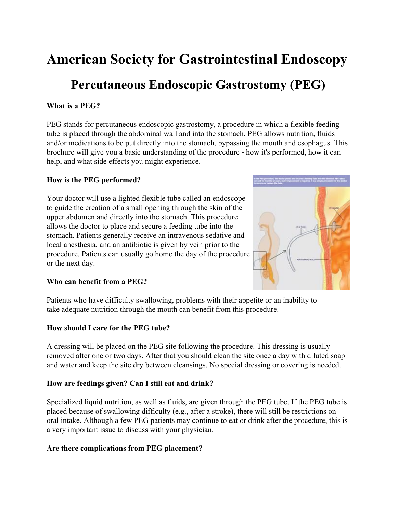# **American Society for Gastrointestinal Endoscopy**

## **Percutaneous Endoscopic Gastrostomy (PEG)**

## **What is a PEG?**

PEG stands for percutaneous endoscopic gastrostomy, a procedure in which a flexible feeding tube is placed through the abdominal wall and into the stomach. PEG allows nutrition, fluids and/or medications to be put directly into the stomach, bypassing the mouth and esophagus. This brochure will give you a basic understanding of the procedure - how it's performed, how it can help, and what side effects you might experience.

#### **How is the PEG performed?**

Your doctor will use a lighted flexible tube called an endoscope to guide the creation of a small opening through the skin of the upper abdomen and directly into the stomach. This procedure allows the doctor to place and secure a feeding tube into the stomach. Patients generally receive an intravenous sedative and local anesthesia, and an antibiotic is given by vein prior to the procedure. Patients can usually go home the day of the procedure or the next day.



#### **Who can benefit from a PEG?**

Patients who have difficulty swallowing, problems with their appetite or an inability to take adequate nutrition through the mouth can benefit from this procedure.

#### **How should I care for the PEG tube?**

A dressing will be placed on the PEG site following the procedure. This dressing is usually removed after one or two days. After that you should clean the site once a day with diluted soap and water and keep the site dry between cleansings. No special dressing or covering is needed.

## **How are feedings given? Can I still eat and drink?**

Specialized liquid nutrition, as well as fluids, are given through the PEG tube. If the PEG tube is placed because of swallowing difficulty (e.g., after a stroke), there will still be restrictions on oral intake. Although a few PEG patients may continue to eat or drink after the procedure, this is a very important issue to discuss with your physician.

## **Are there complications from PEG placement?**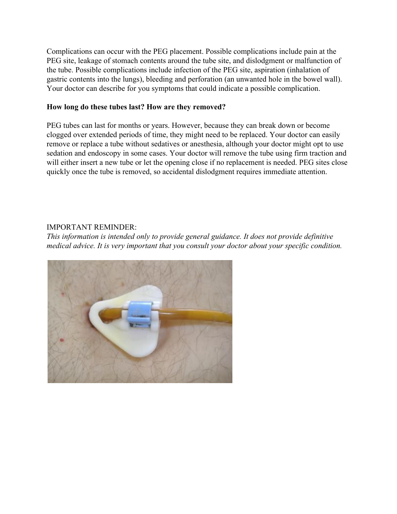Complications can occur with the PEG placement. Possible complications include pain at the PEG site, leakage of stomach contents around the tube site, and dislodgment or malfunction of the tube. Possible complications include infection of the PEG site, aspiration (inhalation of gastric contents into the lungs), bleeding and perforation (an unwanted hole in the bowel wall). Your doctor can describe for you symptoms that could indicate a possible complication.

#### **How long do these tubes last? How are they removed?**

PEG tubes can last for months or years. However, because they can break down or become clogged over extended periods of time, they might need to be replaced. Your doctor can easily remove or replace a tube without sedatives or anesthesia, although your doctor might opt to use sedation and endoscopy in some cases. Your doctor will remove the tube using firm traction and will either insert a new tube or let the opening close if no replacement is needed. PEG sites close quickly once the tube is removed, so accidental dislodgment requires immediate attention.

#### IMPORTANT REMINDER:

*This information is intended only to provide general guidance. It does not provide definitive medical advice. It is very important that you consult your doctor about your specific condition.*

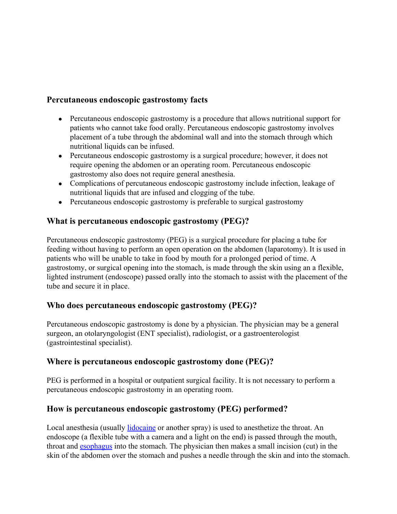## **Percutaneous endoscopic gastrostomy facts**

- Percutaneous endoscopic gastrostomy is a procedure that allows nutritional support for patients who cannot take food orally. Percutaneous endoscopic gastrostomy involves placement of a tube through the abdominal wall and into the stomach through which nutritional liquids can be infused.
- Percutaneous endoscopic gastrostomy is a surgical procedure; however, it does not require opening the abdomen or an operating room. Percutaneous endoscopic gastrostomy also does not require general anesthesia.
- Complications of percutaneous endoscopic gastrostomy include infection, leakage of nutritional liquids that are infused and clogging of the tube.
- Percutaneous endoscopic gastrostomy is preferable to surgical gastrostomy

## **What is percutaneous endoscopic gastrostomy (PEG)?**

Percutaneous endoscopic gastrostomy (PEG) is a surgical procedure for placing a tube for feeding without having to perform an open operation on the abdomen (laparotomy). It is used in patients who will be unable to take in food by mouth for a prolonged period of time. A gastrostomy, or surgical opening into the stomach, is made through the skin using an a flexible, lighted instrument (endoscope) passed orally into the stomach to assist with the placement of the tube and secure it in place.

## **Who does percutaneous endoscopic gastrostomy (PEG)?**

Percutaneous endoscopic gastrostomy is done by a physician. The physician may be a general surgeon, an otolaryngologist (ENT specialist), radiologist, or a gastroenterologist (gastrointestinal specialist).

## **Where is percutaneous endoscopic gastrostomy done (PEG)?**

PEG is performed in a hospital or outpatient surgical facility. It is not necessary to perform a percutaneous endoscopic gastrostomy in an operating room.

## **How is percutaneous endoscopic gastrostomy (PEG) performed?**

Local anesthesia (usually *lidocaine* or another spray) is used to anesthetize the throat. An endoscope (a flexible tube with a camera and a light on the end) is passed through the mouth, throat and [esophagus](http://www.medicinenet.com/image-collection/esophagus_picture/picture.htm) into the stomach. The physician then makes a small incision (cut) in the skin of the abdomen over the stomach and pushes a needle through the skin and into the stomach.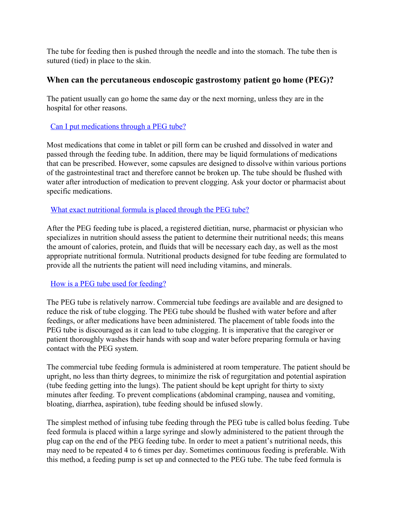The tube for feeding then is pushed through the needle and into the stomach. The tube then is sutured (tied) in place to the skin.

## **When can the percutaneous endoscopic gastrostomy patient go home (PEG)?**

The patient usually can go home the same day or the next morning, unless they are in the hospital for other reasons.

#### [Can I put medications through a PEG tube?](http://patients.gi.org/topics/percutaneous-endoscopic-gastrostomy-peg/)

Most medications that come in tablet or pill form can be crushed and dissolved in water and passed through the feeding tube. In addition, there may be liquid formulations of medications that can be prescribed. However, some capsules are designed to dissolve within various portions of the gastrointestinal tract and therefore cannot be broken up. The tube should be flushed with water after introduction of medication to prevent clogging. Ask your doctor or pharmacist about specific medications.

## [What exact nutritional formula is placed through the PEG tube?](http://patients.gi.org/topics/percutaneous-endoscopic-gastrostomy-peg/)

After the PEG feeding tube is placed, a registered dietitian, nurse, pharmacist or physician who specializes in nutrition should assess the patient to determine their nutritional needs; this means the amount of calories, protein, and fluids that will be necessary each day, as well as the most appropriate nutritional formula. Nutritional products designed for tube feeding are formulated to provide all the nutrients the patient will need including vitamins, and minerals.

## [How is a PEG tube used for feeding?](http://patients.gi.org/topics/percutaneous-endoscopic-gastrostomy-peg/)

The PEG tube is relatively narrow. Commercial tube feedings are available and are designed to reduce the risk of tube clogging. The PEG tube should be flushed with water before and after feedings, or after medications have been administered. The placement of table foods into the PEG tube is discouraged as it can lead to tube clogging. It is imperative that the caregiver or patient thoroughly washes their hands with soap and water before preparing formula or having contact with the PEG system.

The commercial tube feeding formula is administered at room temperature. The patient should be upright, no less than thirty degrees, to minimize the risk of regurgitation and potential aspiration (tube feeding getting into the lungs). The patient should be kept upright for thirty to sixty minutes after feeding. To prevent complications (abdominal cramping, nausea and vomiting, bloating, diarrhea, aspiration), tube feeding should be infused slowly.

The simplest method of infusing tube feeding through the PEG tube is called bolus feeding. Tube feed formula is placed within a large syringe and slowly administered to the patient through the plug cap on the end of the PEG feeding tube. In order to meet a patient's nutritional needs, this may need to be repeated 4 to 6 times per day. Sometimes continuous feeding is preferable. With this method, a feeding pump is set up and connected to the PEG tube. The tube feed formula is